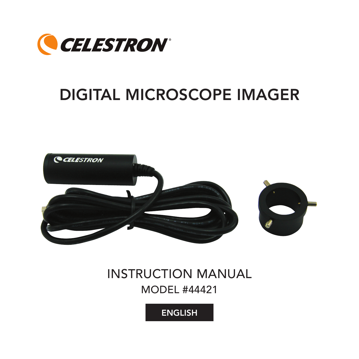

# Digital Microscope Imager



# INSTRUCTION Manual Model #44421

**ENGLISH**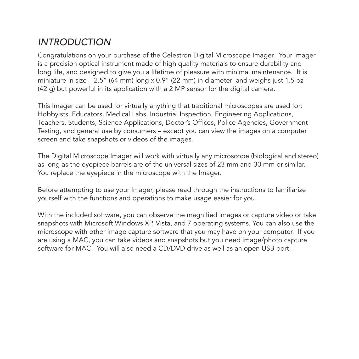## *Introduction*

Congratulations on your purchase of the Celestron Digital Microscope Imager. Your Imager is a precision optical instrument made of high quality materials to ensure durability and long life, and designed to give you a lifetime of pleasure with minimal maintenance. It is miniature in size  $-2.5$ " (64 mm) long x 0.9" (22 mm) in diameter and weighs just 1.5 oz (42 g) but powerful in its application with a 2 MP sensor for the digital camera.

This Imager can be used for virtually anything that traditional microscopes are used for: Hobbyists, Educators, Medical Labs, Industrial Inspection, Engineering Applications, Teachers, Students, Science Applications, Doctor's Offices, Police Agencies, Government Testing, and general use by consumers – except you can view the images on a computer screen and take snapshots or videos of the images.

The Digital Microscope Imager will work with virtually any microscope (biological and stereo) as long as the eyepiece barrels are of the universal sizes of 23 mm and 30 mm or similar. You replace the eyepiece in the microscope with the Imager.

Before attempting to use your Imager, please read through the instructions to familiarize yourself with the functions and operations to make usage easier for you.

With the included software, you can observe the magnified images or capture video or take snapshots with Microsoft Windows XP, Vista, and 7 operating systems. You can also use the microscope with other image capture software that you may have on your computer. If you are using a MAC, you can take videos and snapshots but you need image/photo capture software for MAC. You will also need a CD/DVD drive as well as an open USB port.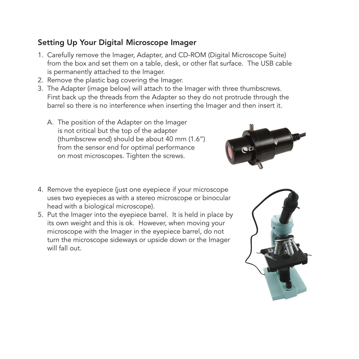#### Setting Up Your Digital Microscope Imager

- 1. Carefully remove the Imager, Adapter, and CD-ROM (Digital Microscope Suite) from the box and set them on a table, desk, or other flat surface. The USB cable is permanently attached to the Imager.
- 2. Remove the plastic bag covering the Imager.
- 3. The Adapter (image below) will attach to the Imager with three thumbscrews. First back up the threads from the Adapter so they do not protrude through the barrel so there is no interference when inserting the Imager and then insert it.
	- A. The position of the Adapter on the Imager is not critical but the top of the adapter (thumbscrew end) should be about 40 mm (1.6") from the sensor end for optimal performance on most microscopes. Tighten the screws.



- 4. Remove the eyepiece (just one eyepiece if your microscope uses two eyepieces as with a stereo microscope or binocular head with a biological microscope).
- 5. Put the Imager into the eyepiece barrel. It is held in place by its own weight and this is ok. However, when moving your microscope with the Imager in the eyepiece barrel, do not turn the microscope sideways or upside down or the Imager will fall out.

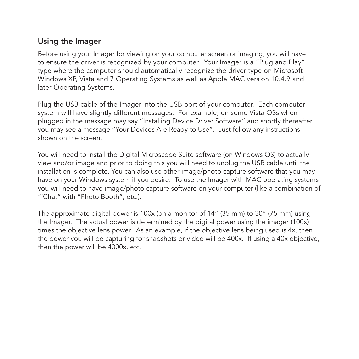#### Using the Imager

Before using your Imager for viewing on your computer screen or imaging, you will have to ensure the driver is recognized by your computer. Your Imager is a "Plug and Play" type where the computer should automatically recognize the driver type on Microsoft Windows XP, Vista and 7 Operating Systems as well as Apple MAC version 10.4.9 and later Operating Systems.

Plug the USB cable of the Imager into the USB port of your computer. Each computer system will have slightly different messages. For example, on some Vista OSs when plugged in the message may say "Installing Device Driver Software" and shortly thereafter you may see a message "Your Devices Are Ready to Use". Just follow any instructions shown on the screen.

You will need to install the Digital Microscope Suite software (on Windows OS) to actually view and/or image and prior to doing this you will need to unplug the USB cable until the installation is complete. You can also use other image/photo capture software that you may have on your Windows system if you desire. To use the Imager with MAC operating systems you will need to have image/photo capture software on your computer (like a combination of "iChat" with "Photo Booth", etc.).

The approximate digital power is 100x (on a monitor of 14" (35 mm) to 30" (75 mm) using the Imager. The actual power is determined by the digital power using the imager (100x) times the objective lens power. As an example, if the objective lens being used is 4x, then the power you will be capturing for snapshots or video will be 400x. If using a 40x objective, then the power will be 4000x, etc.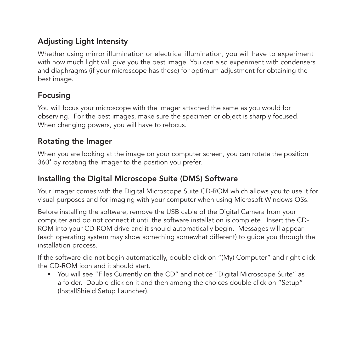#### Adjusting Light Intensity

Whether using mirror illumination or electrical illumination, you will have to experiment with how much light will give you the best image. You can also experiment with condensers and diaphragms (if your microscope has these) for optimum adjustment for obtaining the best image.

#### Focusing

You will focus your microscope with the Imager attached the same as you would for observing. For the best images, make sure the specimen or object is sharply focused. When changing powers, you will have to refocus.

#### Rotating the Imager

When you are looking at the image on your computer screen, you can rotate the position 360˚ by rotating the Imager to the position you prefer.

#### Installing the Digital Microscope Suite (DMS) Software

Your Imager comes with the Digital Microscope Suite CD-ROM which allows you to use it for visual purposes and for imaging with your computer when using Microsoft Windows OSs.

Before installing the software, remove the USB cable of the Digital Camera from your computer and do not connect it until the software installation is complete. Insert the CD-ROM into your CD-ROM drive and it should automatically begin. Messages will appear (each operating system may show something somewhat different) to guide you through the installation process.

If the software did not begin automatically, double click on "(My) Computer" and right click the CD-ROM icon and it should start.

 • You will see "Files Currently on the CD" and notice "Digital Microscope Suite" as a folder. Double click on it and then among the choices double click on "Setup" (InstallShield Setup Launcher).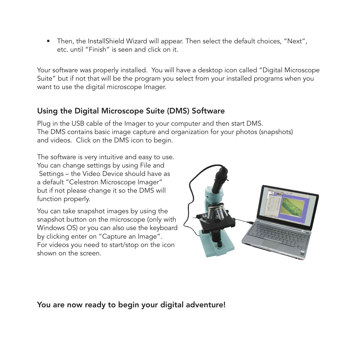• Then, the InstallShield Wizard will appear. Then select the default choices, "Next", etc. until "Finish" is seen and click on it.

Your software was properly installed. You will have a desktop icon called "Digital Microscope Suite" but if not that will be the program you select from your installed programs when you want to use the digital microscope Imager.

#### Using the Digital Microscope Suite (DMS) Software

Plug in the USB cable of the Imager to your computer and then start DMS. The DMS contains basic image capture and organization for your photos (snapshots) and videos. Click on the DMS icon to begin.

The software is very intuitive and easy to use. You can change settings by using File and Settings – the Video Device should have as a default "Celestron Microscope Imager" but if not please change it so the DMS will function properly.

You can take snapshot images by using the snapshot button on the microscope (only with Windows OS) or you can also use the keyboard by clicking enter on "Capture an Image". For videos you need to start/stop on the icon shown on the screen.



You are now ready to begin your digital adventure!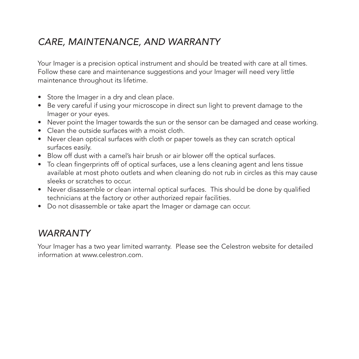## *Care, Maintenance, and Warranty*

Your Imager is a precision optical instrument and should be treated with care at all times. Follow these care and maintenance suggestions and your Imager will need very little maintenance throughout its lifetime.

- Store the Imager in a dry and clean place.
- Be very careful if using your microscope in direct sun light to prevent damage to the Imager or your eyes.
- Never point the Imager towards the sun or the sensor can be damaged and cease working.
- Clean the outside surfaces with a moist cloth.
- Never clean optical surfaces with cloth or paper towels as they can scratch optical surfaces easily.
- Blow off dust with a camel's hair brush or air blower off the optical surfaces.
- To clean fingerprints off of optical surfaces, use a lens cleaning agent and lens tissue available at most photo outlets and when cleaning do not rub in circles as this may cause sleeks or scratches to occur.
- Never disassemble or clean internal optical surfaces. This should be done by qualified technicians at the factory or other authorized repair facilities.
- Do not disassemble or take apart the Imager or damage can occur.

### *Warranty*

Your Imager has a two year limited warranty. Please see the Celestron website for detailed information at www.celestron.com.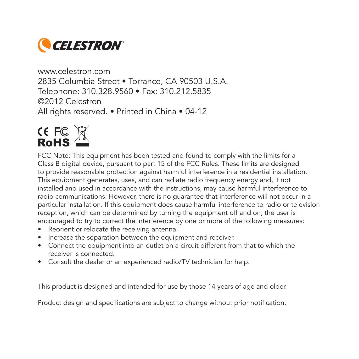

www.celestron.com 2835 Columbia Street • Torrance, CA 90503 U.S.A. Telephone: 310.328.9560 • Fax: 310.212.5835 ©2012 Celestron All rights reserved. • Printed in China • 04-12



FCC Note: This equipment has been tested and found to comply with the limits for a Class B digital device, pursuant to part 15 of the FCC Rules. These limits are designed to provide reasonable protection against harmful interference in a residential installation. This equipment generates, uses, and can radiate radio frequency energy and, if not installed and used in accordance with the instructions, may cause harmful interference to radio communications. However, there is no guarantee that interference will not occur in a particular installation. If this equipment does cause harmful interference to radio or television reception, which can be determined by turning the equipment off and on, the user is encouraged to try to correct the interference by one or more of the following measures:

- Reorient or relocate the receiving antenna.
- Increase the separation between the equipment and receiver.
- Connect the equipment into an outlet on a circuit different from that to which the receiver is connected.
- • Consult the dealer or an experienced radio/TV technician for help.

This product is designed and intended for use by those 14 years of age and older.

Product design and specifications are subject to change without prior notification.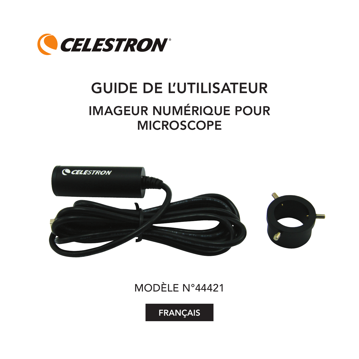

# GUIDE DE L'UTILISATEUR Imageur numérique pour **MICROSCOPE**



# Modèle n°44421

FRANÇAIS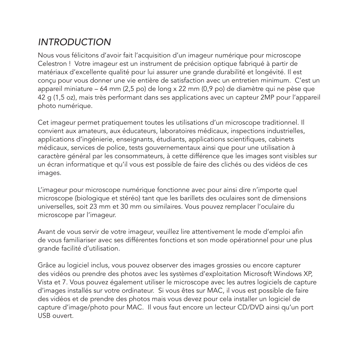## *Introduction*

Nous vous félicitons d'avoir fait l'acquisition d'un imageur numérique pour microscope Celestron ! Votre imageur est un instrument de précision optique fabriqué à partir de matériaux d'excellente qualité pour lui assurer une grande durabilité et longévité. Il est conçu pour vous donner une vie entière de satisfaction avec un entretien minimum. C'est un appareil miniature – 64 mm (2,5 po) de long x 22 mm (0,9 po) de diamètre qui ne pèse que 42 g (1,5 oz), mais très performant dans ses applications avec un capteur 2MP pour l'appareil photo numérique.

Cet imageur permet pratiquement toutes les utilisations d'un microscope traditionnel. Il convient aux amateurs, aux éducateurs, laboratoires médicaux, inspections industrielles, applications d'ingénierie, enseignants, étudiants, applications scientifiques, cabinets médicaux, services de police, tests gouvernementaux ainsi que pour une utilisation à caractère général par les consommateurs, à cette différence que les images sont visibles sur un écran informatique et qu'il vous est possible de faire des clichés ou des vidéos de ces images.

L'imageur pour microscope numérique fonctionne avec pour ainsi dire n'importe quel microscope (biologique et stéréo) tant que les barillets des oculaires sont de dimensions universelles, soit 23 mm et 30 mm ou similaires. Vous pouvez remplacer l'oculaire du microscope par l'imageur.

Avant de vous servir de votre imageur, veuillez lire attentivement le mode d'emploi afin de vous familiariser avec ses différentes fonctions et son mode opérationnel pour une plus grande facilité d'utilisation.

Grâce au logiciel inclus, vous pouvez observer des images grossies ou encore capturer des vidéos ou prendre des photos avec les systèmes d'exploitation Microsoft Windows XP, Vista et 7. Vous pouvez également utiliser le microscope avec les autres logiciels de capture d'images installés sur votre ordinateur. Si vous êtes sur MAC, il vous est possible de faire des vidéos et de prendre des photos mais vous devez pour cela installer un logiciel de capture d'image/photo pour MAC. Il vous faut encore un lecteur CD/DVD ainsi qu'un port USB ouvert.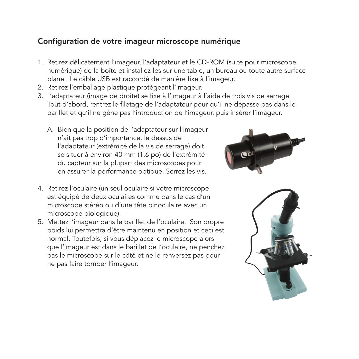#### Configuration de votre imageur microscope numérique

- 1. Retirez délicatement l'imageur, l'adaptateur et le CD-ROM (suite pour microscope numérique) de la boîte et installez-les sur une table, un bureau ou toute autre surface plane. Le câble USB est raccordé de manière fixe à l'imageur.
- 2. Retirez l'emballage plastique protégeant l'imageur.
- 3. L'adaptateur (image de droite) se fixe à l'imageur à l'aide de trois vis de serrage. Tout d'abord, rentrez le filetage de l'adaptateur pour qu'il ne dépasse pas dans le barillet et qu'il ne gêne pas l'introduction de l'imageur, puis insérer l'imageur.
	- A. Bien que la position de l'adaptateur sur l'imageur n'ait pas trop d'importance, le dessus de l'adaptateur (extrémité de la vis de serrage) doit se situer à environ 40 mm (1,6 po) de l'extrémité du capteur sur la plupart des microscopes pour en assurer la performance optique. Serrez les vis.
- 4. Retirez l'oculaire (un seul oculaire si votre microscope est équipé de deux oculaires comme dans le cas d'un microscope stéréo ou d'une tête binoculaire avec un microscope biologique).
- 5. Mettez l'imageur dans le barillet de l'oculaire. Son propre poids lui permettra d'être maintenu en position et ceci est normal. Toutefois, si vous déplacez le microscope alors que l'imageur est dans le barillet de l'oculaire, ne penchez pas le microscope sur le côté et ne le renversez pas pour ne pas faire tomber l'imageur.



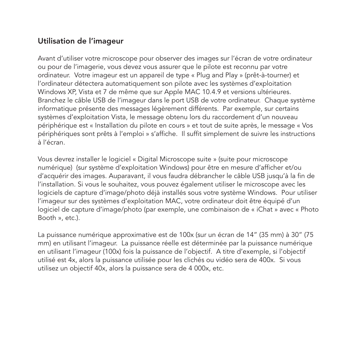#### Utilisation de l'imageur

Avant d'utiliser votre microscope pour observer des images sur l'écran de votre ordinateur ou pour de l'imagerie, vous devez vous assurer que le pilote est reconnu par votre ordinateur. Votre imageur est un appareil de type « Plug and Play » (prêt-à-tourner) et l'ordinateur détectera automatiquement son pilote avec les systèmes d'exploitation Windows XP, Vista et 7 de même que sur Apple MAC 10.4.9 et versions ultérieures. Branchez le câble USB de l'imageur dans le port USB de votre ordinateur. Chaque système informatique présente des messages légèrement différents. Par exemple, sur certains systèmes d'exploitation Vista, le message obtenu lors du raccordement d'un nouveau périphérique est « Installation du pilote en cours » et tout de suite après, le message « Vos périphériques sont prêts à l'emploi » s'affiche. Il suffit simplement de suivre les instructions à l'écran.

Vous devrez installer le logiciel « Digital Microscope suite » (suite pour microscope numérique) (sur système d'exploitation Windows) pour être en mesure d'afficher et/ou d'acquérir des images. Auparavant, il vous faudra débrancher le câble USB jusqu'à la fin de l'installation. Si vous le souhaitez, vous pouvez également utiliser le microscope avec les logiciels de capture d'image/photo déjà installés sous votre système Windows. Pour utiliser l'imageur sur des systèmes d'exploitation MAC, votre ordinateur doit être équipé d'un logiciel de capture d'image/photo (par exemple, une combinaison de « iChat » avec « Photo Booth », etc.).

La puissance numérique approximative est de 100x (sur un écran de 14" (35 mm) à 30" (75 mm) en utilisant l'imageur. La puissance réelle est déterminée par la puissance numérique en utilisant l'imageur (100x) fois la puissance de l'objectif. A titre d'exemple, si l'objectif utilisé est 4x, alors la puissance utilisée pour les clichés ou vidéo sera de 400x. Si vous utilisez un objectif 40x, alors la puissance sera de 4 000x, etc.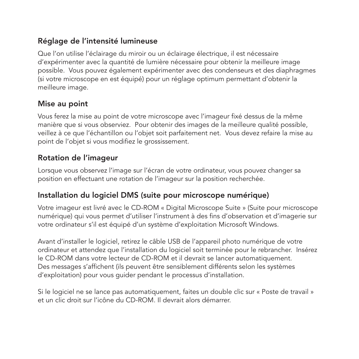#### Réglage de l'intensité lumineuse

Que l'on utilise l'éclairage du miroir ou un éclairage électrique, il est nécessaire d'expérimenter avec la quantité de lumière nécessaire pour obtenir la meilleure image possible. Vous pouvez également expérimenter avec des condenseurs et des diaphragmes (si votre microscope en est équipé) pour un réglage optimum permettant d'obtenir la meilleure image.

#### Mise au point

Vous ferez la mise au point de votre microscope avec l'imageur fixé dessus de la même manière que si vous observiez. Pour obtenir des images de la meilleure qualité possible, veillez à ce que l'échantillon ou l'objet soit parfaitement net. Vous devez refaire la mise au point de l'objet si vous modifiez le grossissement.

#### Rotation de l'imageur

Lorsque vous observez l'image sur l'écran de votre ordinateur, vous pouvez changer sa position en effectuant une rotation de l'imageur sur la position recherchée.

#### Installation du logiciel DMS (suite pour microscope numérique)

Votre imageur est livré avec le CD-ROM « Digital Microscope Suite » (Suite pour microscope numérique) qui vous permet d'utiliser l'instrument à des fins d'observation et d'imagerie sur votre ordinateur s'il est équipé d'un système d'exploitation Microsoft Windows.

Avant d'installer le logiciel, retirez le câble USB de l'appareil photo numérique de votre ordinateur et attendez que l'installation du logiciel soit terminée pour le rebrancher. Insérez le CD-ROM dans votre lecteur de CD-ROM et il devrait se lancer automatiquement. Des messages s'affichent (ils peuvent être sensiblement différents selon les systèmes d'exploitation) pour vous guider pendant le processus d'installation.

Si le logiciel ne se lance pas automatiquement, faites un double clic sur « Poste de travail » et un clic droit sur l'icône du CD-ROM. Il devrait alors démarrer.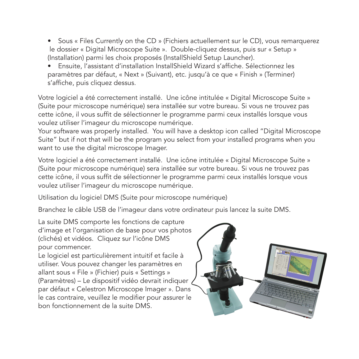• Sous « Files Currently on the CD » (Fichiers actuellement sur le CD), yous remarquerez le dossier « Digital Microscope Suite ». Double-cliquez dessus, puis sur « Setup » (Installation) parmi les choix proposés (InstallShield Setup Launcher).

 • Ensuite, l'assistant d'installation InstallShield Wizard s'affiche. Sélectionnez les paramètres par défaut, « Next » (Suivant), etc. jusqu'à ce que « Finish » (Terminer) s'affiche, puis cliquez dessus.

Votre logiciel a été correctement installé. Une icône intitulée « Digital Microscope Suite » (Suite pour microscope numérique) sera installée sur votre bureau. Si vous ne trouvez pas cette icône, il vous suffit de sélectionner le programme parmi ceux installés lorsque vous voulez utiliser l'imageur du microscope numérique.

Your software was properly installed. You will have a desktop icon called "Digital Microscope Suite" but if not that will be the program you select from your installed programs when you want to use the digital microscope Imager.

Votre logiciel a été correctement installé. Une icône intitulée « Digital Microscope Suite » (Suite pour microscope numérique) sera installée sur votre bureau. Si vous ne trouvez pas cette icône, il vous suffit de sélectionner le programme parmi ceux installés lorsque vous voulez utiliser l'imageur du microscope numérique.

Utilisation du logiciel DMS (Suite pour microscope numérique)

Branchez le câble USB de l'imageur dans votre ordinateur puis lancez la suite DMS.

La suite DMS comporte les fonctions de capture d'image et l'organisation de base pour vos photos (clichés) et vidéos. Cliquez sur l'icône DMS pour commencer.

Le logiciel est particulièrement intuitif et facile à utiliser. Vous pouvez changer les paramètres en allant sous « File » (Fichier) puis « Settings » (Paramètres) – Le dispositif vidéo devrait indiquer par défaut « Celestron Microscope Imager ». Dans le cas contraire, veuillez le modifier pour assurer le bon fonctionnement de la suite DMS.

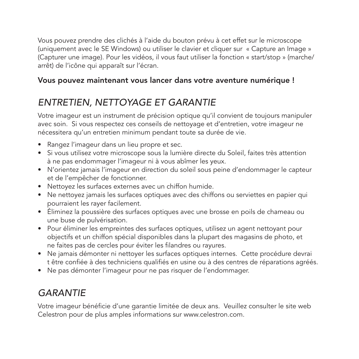Vous pouvez prendre des clichés à l'aide du bouton prévu à cet effet sur le microscope (uniquement avec le SE Windows) ou utiliser le clavier et cliquer sur « Capture an Image » (Capturer une image). Pour les vidéos, il vous faut utiliser la fonction « start/stop » (marche/ arrêt) de l'icône qui apparaît sur l'écran.

#### Vous pouvez maintenant vous lancer dans votre aventure numérique !

## *Entretien, nettoyage et garantie*

Votre imageur est un instrument de précision optique qu'il convient de toujours manipuler avec soin. Si vous respectez ces conseils de nettoyage et d'entretien, votre imageur ne nécessitera qu'un entretien minimum pendant toute sa durée de vie.

- • Rangez l'imageur dans un lieu propre et sec.
- • Si vous utilisez votre microscope sous la lumière directe du Soleil, faites très attention à ne pas endommager l'imageur ni à vous abîmer les yeux.
- • N'orientez jamais l'imageur en direction du soleil sous peine d'endommager le capteur et de l'empêcher de fonctionner.
- Nettoyez les surfaces externes avec un chiffon humide.
- • Ne nettoyez jamais les surfaces optiques avec des chiffons ou serviettes en papier qui pourraient les rayer facilement.
- • Éliminez la poussière des surfaces optiques avec une brosse en poils de chameau ou une buse de pulvérisation.
- Pour éliminer les empreintes des surfaces optiques, utilisez un agent nettoyant pour objectifs et un chiffon spécial disponibles dans la plupart des magasins de photo, et ne faites pas de cercles pour éviter les filandres ou rayures.
- • Ne jamais démonter ni nettoyer les surfaces optiques internes. Cette procédure devrai t être confiée à des techniciens qualifiés en usine ou à des centres de réparations agréés.
- • Ne pas démonter l'imageur pour ne pas risquer de l'endommager.

## *Garantie*

Votre imageur bénéficie d'une garantie limitée de deux ans. Veuillez consulter le site web Celestron pour de plus amples informations sur www.celestron.com.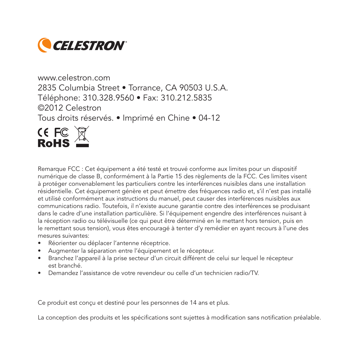

www.celestron.com 2835 Columbia Street • Torrance, CA 90503 U.S.A. Téléphone: 310.328.9560 • Fax: 310.212.5835 ©2012 Celestron Tous droits réservés. • Imprimé en Chine • 04-12



Remarque FCC : Cet équipement a été testé et trouvé conforme aux limites pour un dispositif numérique de classe B, conformément à la Partie 15 des règlements de la FCC. Ces limites visent à protéger convenablement les particuliers contre les interférences nuisibles dans une installation résidentielle. Cet équipement génère et peut émettre des fréquences radio et, s'il n'est pas installé et utilisé conformément aux instructions du manuel, peut causer des interférences nuisibles aux communications radio. Toutefois, il n'existe aucune garantie contre des interférences se produisant dans le cadre d'une installation particulière. Si l'équipement engendre des interférences nuisant à la réception radio ou télévisuelle (ce qui peut être déterminé en le mettant hors tension, puis en le remettant sous tension), vous êtes encouragé à tenter d'y remédier en ayant recours à l'une des mesures suivantes:

- • Réorienter ou déplacer l'antenne réceptrice.
- • Augmenter la séparation entre l'équipement et le récepteur.
- • Branchez l'appareil à la prise secteur d'un circuit différent de celui sur lequel le récepteur est branché.
- • Demandez l'assistance de votre revendeur ou celle d'un technicien radio/TV.

Ce produit est conçu et destiné pour les personnes de 14 ans et plus.

La conception des produits et les spécifications sont sujettes à modification sans notification préalable.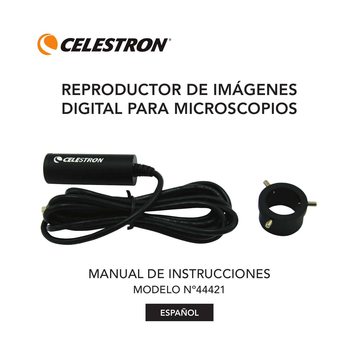

# Reproductor de imágenes digital para microscopios



# MANUAL DE INSTRUCCIONES Modelo Nº44421

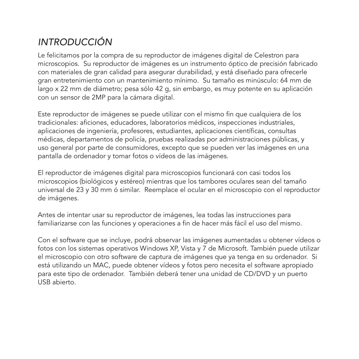# *Introducción*

Le felicitamos por la compra de su reproductor de imágenes digital de Celestron para microscopios. Su reproductor de imágenes es un instrumento óptico de precisión fabricado con materiales de gran calidad para asegurar durabilidad, y está diseñado para ofrecerle gran entretenimiento con un mantenimiento mínimo. Su tamaño es minúsculo: 64 mm de largo x 22 mm de diámetro; pesa sólo 42 g, sin embargo, es muy potente en su aplicación con un sensor de 2MP para la cámara digital.

Este reproductor de imágenes se puede utilizar con el mismo fin que cualquiera de los tradicionales: aficiones, educadores, laboratorios médicos, inspecciones industriales, aplicaciones de ingeniería, profesores, estudiantes, aplicaciones científicas, consultas médicas, departamentos de policía, pruebas realizadas por administraciones públicas, y uso general por parte de consumidores, excepto que se pueden ver las imágenes en una pantalla de ordenador y tomar fotos o vídeos de las imágenes.

El reproductor de imágenes digital para microscopios funcionará con casi todos los microscopios (biológicos y estéreo) mientras que los tambores oculares sean del tamaño universal de 23 y 30 mm ó similar. Reemplace el ocular en el microscopio con el reproductor de imágenes.

Antes de intentar usar su reproductor de imágenes, lea todas las instrucciones para familiarizarse con las funciones y operaciones a fin de hacer más fácil el uso del mismo.

Con el software que se incluye, podrá observar las imágenes aumentadas u obtener vídeos o fotos con los sistemas operativos Windows XP, Vista y 7 de Microsoft. También puede utilizar el microscopio con otro software de captura de imágenes que ya tenga en su ordenador. Si está utilizando un MAC, puede obtener vídeos y fotos pero necesita el software apropiado para este tipo de ordenador. También deberá tener una unidad de CD/DVD y un puerto USB abierto.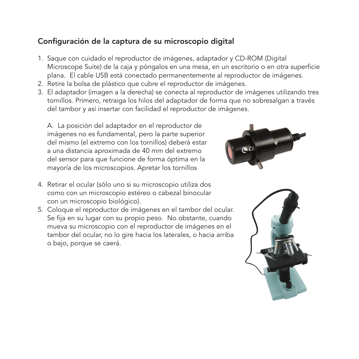#### Configuración de la captura de su microscopio digital

- 1. Saque con cuidado el reproductor de imágenes, adaptador y CD-ROM (Digital Microscope Suite) de la caja y póngalos en una mesa, en un escritorio o en otra superficie plana. El cable USB está conectado permanentemente al reproductor de imágenes.
- 2. Retire la bolsa de plástico que cubre el reproductor de imágenes.
- 3. El adaptador (imagen a la derecha) se conecta al reproductor de imágenes utilizando tres tornillos. Primero, retraiga los hilos del adaptador de forma que no sobresalgan a través del tambor y así insertar con facilidad el reproductor de imágenes.

A. La posición del adaptador en el reproductor de imágenes no es fundamental, pero la parte superior del mismo (el extremo con los tornillos) deberá estar a una distancia aproximada de 40 mm del extremo del sensor para que funcione de forma óptima en la mayoría de los microscopios. Apretar los tornillos

- 4. Retirar el ocular (sólo uno si su microscopio utiliza dos como con un microscopio estéreo o cabezal binocular con un microscopio biológico).
- 5. Coloque el reproductor de imágenes en el tambor del ocular. Se fija en su lugar con su propio peso. No obstante, cuando mueva su microscopio con el reproductor de imágenes en el tambor del ocular, no lo gire hacia los laterales, o hacia arriba o bajo, porque se caerá.



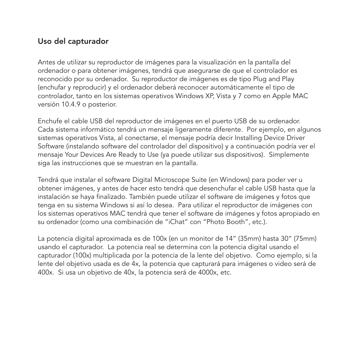#### Uso del capturador

Antes de utilizar su reproductor de imágenes para la visualización en la pantalla del ordenador o para obtener imágenes, tendrá que asegurarse de que el controlador es reconocido por su ordenador. Su reproductor de imágenes es de tipo Plug and Play (enchufar y reproducir) y el ordenador deberá reconocer automáticamente el tipo de controlador, tanto en los sistemas operativos Windows XP, Vista y 7 como en Apple MAC versión 10.4.9 o posterior.

Enchufe el cable USB del reproductor de imágenes en el puerto USB de su ordenador. Cada sistema informático tendrá un mensaje ligeramente diferente. Por ejemplo, en algunos sistemas operativos Vista, al conectarse, el mensaje podría decir Installing Device Driver Software (instalando software del controlador del dispositivo) y a continuación podría ver el mensaje Your Devices Are Ready to Use (ya puede utilizar sus dispositivos). Simplemente siga las instrucciones que se muestran en la pantalla.

Tendrá que instalar el software Digital Microscope Suite (en Windows) para poder ver u obtener imágenes, y antes de hacer esto tendrá que desenchufar el cable USB hasta que la instalación se haya finalizado. También puede utilizar el software de imágenes y fotos que tenga en su sistema Windows si así lo desea. Para utilizar el reproductor de imágenes con los sistemas operativos MAC tendrá que tener el software de imágenes y fotos apropiado en su ordenador (como una combinación de "iChat" con "Photo Booth", etc.).

La potencia digital aproximada es de 100x (en un monitor de 14" (35mm) hasta 30" (75mm) usando el capturador. La potencia real se determina con la potencia digital usando el capturador (100x) multiplicada por la potencia de la lente del objetivo. Como ejemplo, si la lente del objetivo usada es de 4x, la potencia que capturará para imágenes o video será de 400x. Si usa un objetivo de 40x, la potencia será de 4000x, etc.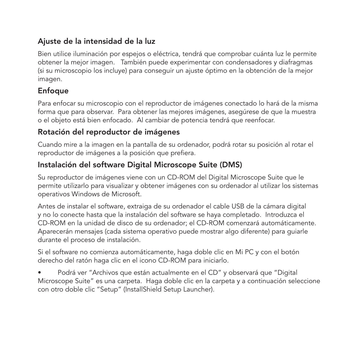#### Ajuste de la intensidad de la luz

Bien utilice iluminación por espejos o eléctrica, tendrá que comprobar cuánta luz le permite obtener la mejor imagen. También puede experimentar con condensadores y diafragmas (si su microscopio los incluye) para conseguir un ajuste óptimo en la obtención de la mejor imagen.

#### Enfoque

Para enfocar su microscopio con el reproductor de imágenes conectado lo hará de la misma forma que para observar. Para obtener las mejores imágenes, asegúrese de que la muestra o el objeto está bien enfocado. Al cambiar de potencia tendrá que reenfocar.

#### Rotación del reproductor de imágenes

Cuando mire a la imagen en la pantalla de su ordenador, podrá rotar su posición al rotar el reproductor de imágenes a la posición que prefiera.

#### Instalación del software Digital Microscope Suite (DMS)

Su reproductor de imágenes viene con un CD-ROM del Digital Microscope Suite que le permite utilizarlo para visualizar y obtener imágenes con su ordenador al utilizar los sistemas operativos Windows de Microsoft.

Antes de instalar el software, extraiga de su ordenador el cable USB de la cámara digital y no lo conecte hasta que la instalación del software se haya completado. Introduzca el CD-ROM en la unidad de disco de su ordenador; el CD-ROM comenzará automáticamente. Aparecerán mensajes (cada sistema operativo puede mostrar algo diferente) para guiarle durante el proceso de instalación.

Si el software no comienza automáticamente, haga doble clic en Mi PC y con el botón derecho del ratón haga clic en el icono CD-ROM para iniciarlo.

Podrá ver "Archivos que están actualmente en el CD" y observará que "Digital Microscope Suite" es una carpeta. Haga doble clic en la carpeta y a continuación seleccione con otro doble clic "Setup" (InstallShield Setup Launcher).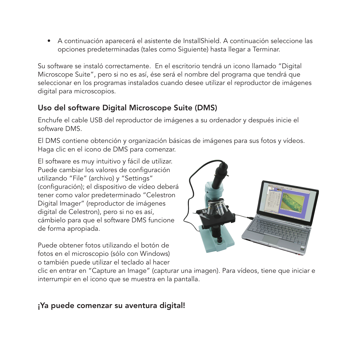• A continuación aparecerá el asistente de InstallShield. A continuación seleccione las opciones predeterminadas (tales como Siguiente) hasta llegar a Terminar.

Su software se instaló correctamente. En el escritorio tendrá un icono llamado "Digital Microscope Suite", pero si no es así, ése será el nombre del programa que tendrá que seleccionar en los programas instalados cuando desee utilizar el reproductor de imágenes digital para microscopios.

#### Uso del software Digital Microscope Suite (DMS)

Enchufe el cable USB del reproductor de imágenes a su ordenador y después inicie el software DMS.

El DMS contiene obtención y organización básicas de imágenes para sus fotos y vídeos. Haga clic en el icono de DMS para comenzar.

El software es muy intuitivo y fácil de utilizar. Puede cambiar los valores de configuración utilizando "File" (archivo) y "Settings" (configuración); el dispositivo de vídeo deberá tener como valor predeterminado "Celestron Digital Imager" (reproductor de imágenes digital de Celestron), pero si no es así, cámbielo para que el software DMS funcione de forma apropiada.

Puede obtener fotos utilizando el botón de fotos en el microscopio (sólo con Windows) o también puede utilizar el teclado al hacer



clic en entrar en "Capture an Image" (capturar una imagen). Para vídeos, tiene que iniciar e interrumpir en el icono que se muestra en la pantalla.

#### ¡Ya puede comenzar su aventura digital!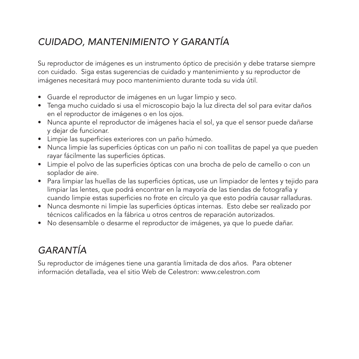## *Cuidado, mantenimiento y garantía*

Su reproductor de imágenes es un instrumento óptico de precisión y debe tratarse siempre con cuidado. Siga estas sugerencias de cuidado y mantenimiento y su reproductor de imágenes necesitará muy poco mantenimiento durante toda su vida útil.

- • Guarde el reproductor de imágenes en un lugar limpio y seco.
- • Tenga mucho cuidado si usa el microscopio bajo la luz directa del sol para evitar daños en el reproductor de imágenes o en los ojos.
- • Nunca apunte el reproductor de imágenes hacia el sol, ya que el sensor puede dañarse y dejar de funcionar.
- • Limpie las superficies exteriores con un paño húmedo.
- • Nunca limpie las superficies ópticas con un paño ni con toallitas de papel ya que pueden rayar fácilmente las superficies ópticas.
- • Limpie el polvo de las superficies ópticas con una brocha de pelo de camello o con un soplador de aire.
- • Para limpiar las huellas de las superficies ópticas, use un limpiador de lentes y tejido para limpiar las lentes, que podrá encontrar en la mayoría de las tiendas de fotografía y cuando limpie estas superficies no frote en círculo ya que esto podría causar ralladuras.
- • Nunca desmonte ni limpie las superficies ópticas internas. Esto debe ser realizado por técnicos calificados en la fábrica u otros centros de reparación autorizados.
- • No desensamble o desarme el reproductor de imágenes, ya que lo puede dañar.

# *Garantía*

Su reproductor de imágenes tiene una garantía limitada de dos años. Para obtener información detallada, vea el sitio Web de Celestron: www.celestron.com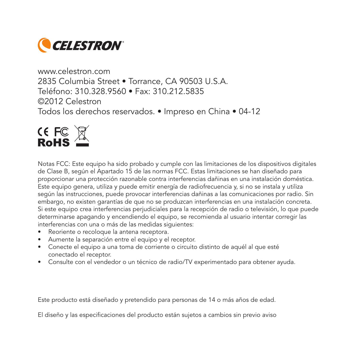

www.celestron.com 2835 Columbia Street • Torrance, CA 90503 U.S.A. Teléfono: 310.328.9560 • Fax: 310.212.5835 ©2012 Celestron Todos los derechos reservados. • Impreso en China • 04-12



Notas FCC: Este equipo ha sido probado y cumple con las limitaciones de los dispositivos digitales de Clase B, según el Apartado 15 de las normas FCC. Estas limitaciones se han diseñado para proporcionar una protección razonable contra interferencias dañinas en una instalación doméstica. Este equipo genera, utiliza y puede emitir energía de radiofrecuencia y, si no se instala y utiliza según las instrucciones, puede provocar interferencias dañinas a las comunicaciones por radio. Sin embargo, no existen garantías de que no se produzcan interferencias en una instalación concreta. Si este equipo crea interferencias perjudiciales para la recepción de radio o televisión, lo que puede determinarse apagando y encendiendo el equipo, se recomienda al usuario intentar corregir las interferencias con una o más de las medidas siguientes:

- • Reoriente o recoloque la antena receptora.
- • Aumente la separación entre el equipo y el receptor.
- • Conecte el equipo a una toma de corriente o circuito distinto de aquél al que esté conectado el receptor.
- • Consulte con el vendedor o un técnico de radio/TV experimentado para obtener ayuda.

Este producto está diseñado y pretendido para personas de 14 o más años de edad.

El diseño y las especificaciones del producto están sujetos a cambios sin previo aviso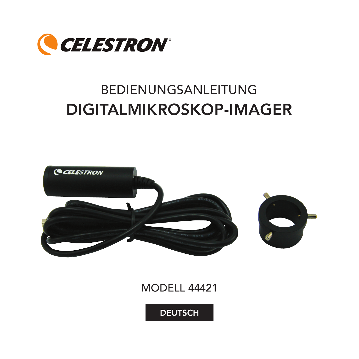

# BEDIENUNGSANLEITUNG Digitalmikroskop-Imager



ModeLL 44421

**DEUTSCH**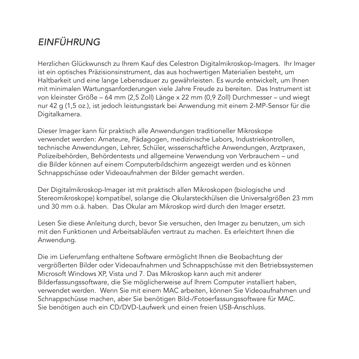# *Einführung*

Herzlichen Glückwunsch zu Ihrem Kauf des Celestron Digitalmikroskop-Imagers. Ihr Imager ist ein optisches Präzisionsinstrument, das aus hochwertigen Materialien besteht, um Haltbarkeit und eine lange Lebensdauer zu gewährleisten. Es wurde entwickelt, um Ihnen mit minimalen Wartungsanforderungen viele Jahre Freude zu bereiten. Das Instrument ist von kleinster Größe – 64 mm (2,5 Zoll) Länge x 22 mm (0,9 Zoll) Durchmesser – und wiegt nur 42 g (1,5 oz.), ist jedoch leistungsstark bei Anwendung mit einem 2-MP-Sensor für die Digitalkamera.

Dieser Imager kann für praktisch alle Anwendungen traditioneller Mikroskope verwendet werden: Amateure, Pädagogen, medizinische Labors, Industriekontrollen, technische Anwendungen, Lehrer, Schüler, wissenschaftliche Anwendungen, Arztpraxen, Polizeibehörden, Behördentests und allgemeine Verwendung von Verbrauchern – und die Bilder können auf einem Computerbildschirm angezeigt werden und es können Schnappschüsse oder Videoaufnahmen der Bilder gemacht werden.

Der Digitalmikroskop-Imager ist mit praktisch allen Mikroskopen (biologische und Stereomikroskope) kompatibel, solange die Okularsteckhülsen die Universalgrößen 23 mm und 30 mm o.ä. haben. Das Okular am Mikroskop wird durch den Imager ersetzt.

Lesen Sie diese Anleitung durch, bevor Sie versuchen, den Imager zu benutzen, um sich mit den Funktionen und Arbeitsabläufen vertraut zu machen. Es erleichtert Ihnen die Anwendung.

Die im Lieferumfang enthaltene Software ermöglicht Ihnen die Beobachtung der vergrößerten Bilder oder Videoaufnahmen und Schnappschüsse mit den Betriebssystemen Microsoft Windows XP, Vista und 7. Das Mikroskop kann auch mit anderer Bilderfassungssoftware, die Sie möglicherweise auf Ihrem Computer installiert haben, verwendet werden. Wenn Sie mit einem MAC arbeiten, können Sie Videoaufnahmen und Schnappschüsse machen, aber Sie benötigen Bild-/Fotoerfassungssoftware für MAC. Sie benötigen auch ein CD/DVD-Laufwerk und einen freien USB-Anschluss.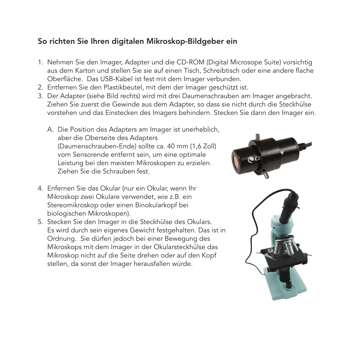#### So richten Sie Ihren digitalen Mikroskop-Bildgeber ein

- 1. Nehmen Sie den Imager, Adapter und die CD-ROM (Digital Microsope Suite) vorsichtig aus dem Karton und stellen Sie sie auf einen Tisch, Schreibtisch oder eine andere flache Oberfläche. Das USB-Kabel ist fest mit dem Imager verbunden.
- 2. Entfernen Sie den Plastikbeutel, mit dem der Imager geschützt ist.
- 3. Der Adapter (siehe Bild rechts) wird mit drei Daumenschrauben am Imager angebracht. Ziehen Sie zuerst die Gewinde aus dem Adapter, so dass sie nicht durch die Steckhülse vorstehen und das Einstecken des Imagers behindern. Stecken Sie dann den Imager ein.
	- A. Die Position des Adapters am Imager ist unerheblich, aber die Oberseite des Adapters (Daumenschrauben-Ende) sollte ca. 40 mm (1,6 Zoll) vom Sensorende entfernt sein, um eine optimale Leistung bei den meisten Mikroskopen zu erzielen. Ziehen Sie die Schrauben fest.
- 4. Enfernen Sie das Okular (nur ein Okular, wenn Ihr Mikroskop zwei Okulare verwendet, wie z.B. ein Stereomikroskop oder einen Binokularkopf bei biologischen Mikroskopen).
- 5. Stecken Sie den Imager in die Steckhülse des Okulars. Es wird durch sein eigenes Gewicht festgehalten. Das ist in Ordnung. Sie dürfen jedoch bei einer Bewegung des Mikroskops mit dem Imager in der Okularsteckhülse das Mikroskop nicht auf die Seite drehen oder auf den Kopf stellen, da sonst der Imager herausfallen würde.



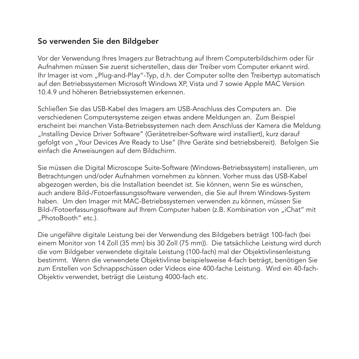#### So verwenden Sie den Bildgeber

Vor der Verwendung Ihres Imagers zur Betrachtung auf Ihrem Computerbildschirm oder für Aufnahmen müssen Sie zuerst sicherstellen, dass der Treiber vom Computer erkannt wird. Ihr Imager ist vom "Plug-and-Play"-Typ, d.h. der Computer sollte den Treibertyp automatisch auf den Betriebssystemen Microsoft Windows XP, Vista und 7 sowie Apple MAC Version 10.4.9 und höheren Betriebssystemen erkennen.

Schließen Sie das USB-Kabel des Imagers am USB-Anschluss des Computers an. Die verschiedenen Computersysteme zeigen etwas andere Meldungen an. Zum Beispiel erscheint bei manchen Vista-Betriebssystemen nach dem Anschluss der Kamera die Meldung "Installing Device Driver Software" (Gerätetreiber-Software wird installiert), kurz darauf gefolgt von "Your Devices Are Ready to Use" (Ihre Geräte sind betriebsbereit). Befolgen Sie einfach die Anweisungen auf dem Bildschirm.

Sie müssen die Digital Microscope Suite-Software (Windows-Betriebssystem) installieren, um Betrachtungen und/oder Aufnahmen vornehmen zu können. Vorher muss das USB-Kabel abgezogen werden, bis die Installation beendet ist. Sie können, wenn Sie es wünschen, auch andere Bild-/Fotoerfassungssoftware verwenden, die Sie auf Ihrem Windows-System haben. Um den Imager mit MAC-Betriebssystemen verwenden zu können, müssen Sie Bild-/Fotoerfassungssoftware auf Ihrem Computer haben (z.B. Kombination von "iChat" mit ..PhotoBooth" etc.).

Die ungefähre digitale Leistung bei der Verwendung des Bildgebers beträgt 100-fach (bei einem Monitor von 14 Zoll (35 mm) bis 30 Zoll (75 mm)). Die tatsächliche Leistung wird durch die vom Bildgeber verwendete digitale Leistung (100-fach) mal der Objektivlinsenleistung bestimmt. Wenn die verwendete Objektivlinse beispielsweise 4-fach beträgt, benötigen Sie zum Erstellen von Schnappschüssen oder Videos eine 400-fache Leistung. Wird ein 40-fach-Objektiv verwendet, beträgt die Leistung 4000-fach etc.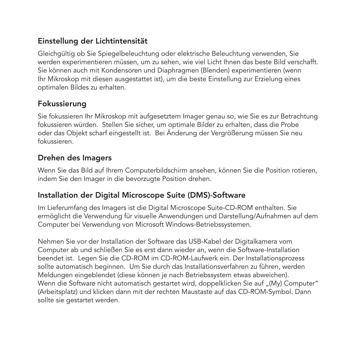#### Einstellung der Lichtintensität

Gleichgültig ob Sie Spiegelbeleuchtung oder elektrische Beleuchtung verwenden, Sie werden experimentieren müssen, um zu sehen, wie viel Licht Ihnen das beste Bild verschafft. Sie können auch mit Kondensoren und Diaphragmen (Blenden) experimentieren (wenn Ihr Mikroskop mit diesen ausgestattet ist), um die beste Einstellung zur Erzielung eines optimalen Bildes zu erhalten.

#### Fokussierung

Sie fokussieren Ihr Mikroskop mit aufgesetztem Imager genau so, wie Sie es zur Betrachtung fokussieren würden. Stellen Sie sicher, um optimale Bilder zu erhalten, dass die Probe oder das Objekt scharf eingestellt ist. Bei Änderung der Vergrößerung müssen Sie neu fokussieren.

#### Drehen des Imagers

Wenn Sie das Bild auf Ihrem Computerbildschirm ansehen, können Sie die Position rotieren, indem Sie den Imager in die bevorzugte Position drehen.

#### Installation der Digital Microscope Suite (DMS)-Software

Im Lieferumfang des Imagers ist die Digital Microscope Suite-CD-ROM enthalten. Sie ermöglicht die Verwendung für visuelle Anwendungen und Darstellung/Aufnahmen auf dem Computer bei Verwendung von Microsoft Windows-Betriebssystemen.

Nehmen Sie vor der Installation der Software das USB-Kabel der Digitalkamera vom Computer ab und schließen Sie es erst dann wieder an, wenn die Software-Installation beendet ist. Legen Sie die CD-ROM im CD-ROM-Laufwerk ein. Der Installationsprozess sollte automatisch beginnen. Um Sie durch das Installationsverfahren zu führen, werden Meldungen eingeblendet (diese können je nach Betriebssystem etwas abweichen). Wenn die Software nicht automatisch gestartet wird, doppelklicken Sie auf "(My) Computer" (Arbeitsplatz) und klicken dann mit der rechten Maustaste auf das CD-ROM-Symbol. Dann sollte sie gestartet werden.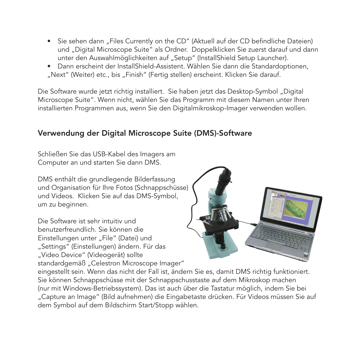- Sie sehen dann "Files Currently on the CD" (Aktuell auf der CD befindliche Dateien) und "Digital Microscope Suite" als Ordner. Doppelklicken Sie zuerst darauf und dann unter den Auswahlmöglichkeiten auf "Setup" (InstallShield Setup Launcher).
- • Dann erscheint der InstallShield-Assistent. Wählen Sie dann die Standardoptionen, "Next" (Weiter) etc., bis "Finish" (Fertig stellen) erscheint. Klicken Sie darauf.

Die Software wurde jetzt richtig installiert. Sie haben jetzt das Desktop-Symbol "Digital Microscope Suite". Wenn nicht, wählen Sie das Programm mit diesem Namen unter Ihren installierten Programmen aus, wenn Sie den Digitalmikroskop-Imager verwenden wollen.

#### Verwendung der Digital Microscope Suite (DMS)-Software

Schließen Sie das USB-Kabel des Imagers am Computer an und starten Sie dann DMS.

DMS enthält die grundlegende Bilderfassung und Organisation für Ihre Fotos (Schnappschüsse) und Videos. Klicken Sie auf das DMS-Symbol, um zu beginnen.

Die Software ist sehr intuitiv und benutzerfreundlich. Sie können die Einstellungen unter "File" (Datei) und "Settings" (Einstellungen) ändern. Für das "Video Device" (Videogerät) sollte standardgemäß "Celestron Microscope Imager"



eingestellt sein. Wenn das nicht der Fall ist, ändern Sie es, damit DMS richtig funktioniert. Sie können Schnappschüsse mit der Schnappschusstaste auf dem Mikroskop machen (nur mit Windows-Betriebssystem). Das ist auch über die Tastatur möglich, indem Sie bei "Capture an Image" (Bild aufnehmen) die Eingabetaste drücken. Für Videos müssen Sie auf dem Symbol auf dem Bildschirm Start/Stopp wählen.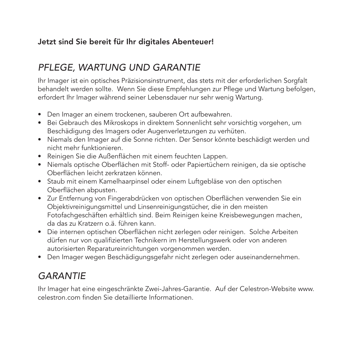#### Jetzt sind Sie bereit für Ihr digitales Abenteuer!

### *Pflege, Wartung und Garantie*

Ihr Imager ist ein optisches Präzisionsinstrument, das stets mit der erforderlichen Sorgfalt behandelt werden sollte. Wenn Sie diese Empfehlungen zur Pflege und Wartung befolgen, erfordert Ihr Imager während seiner Lebensdauer nur sehr wenig Wartung.

- Den Imager an einem trockenen, sauberen Ort aufbewahren.
- • Bei Gebrauch des Mikroskops in direktem Sonnenlicht sehr vorsichtig vorgehen, um Beschädigung des Imagers oder Augenverletzungen zu verhüten.
- • Niemals den Imager auf die Sonne richten. Der Sensor könnte beschädigt werden und nicht mehr funktionieren.
- • Reinigen Sie die Außenflächen mit einem feuchten Lappen.
- • Niemals optische Oberflächen mit Stoff- oder Papiertüchern reinigen, da sie optische Oberflächen leicht zerkratzen können.
- Staub mit einem Kamelhaarpinsel oder einem Luftgebläse von den optischen Oberflächen abpusten.
- Zur Entfernung von Fingerabdrücken von optischen Oberflächen verwenden Sie ein Objektivreinigungsmittel und Linsenreinigungstücher, die in den meisten Fotofachgeschäften erhältlich sind. Beim Reinigen keine Kreisbewegungen machen, da das zu Kratzern o.ä. führen kann.
- • Die internen optischen Oberflächen nicht zerlegen oder reinigen. Solche Arbeiten dürfen nur von qualifizierten Technikern im Herstellungswerk oder von anderen autorisierten Reparatureinrichtungen vorgenommen werden.
- • Den Imager wegen Beschädigungsgefahr nicht zerlegen oder auseinandernehmen.

## *Garantie*

Ihr Imager hat eine eingeschränkte Zwei-Jahres-Garantie. Auf der Celestron-Website www. celestron.com finden Sie detaillierte Informationen.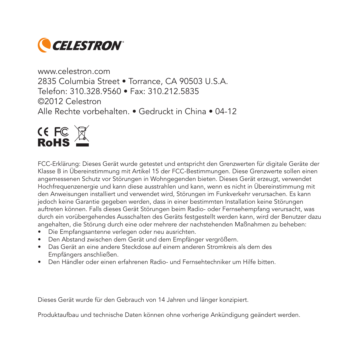

www.celestron.com 2835 Columbia Street • Torrance, CA 90503 U.S.A. Telefon: 310.328.9560 • Fax: 310.212.5835 ©2012 Celestron Alle Rechte vorbehalten. • Gedruckt in China • 04-12



FCC-Erklärung: Dieses Gerät wurde getestet und entspricht den Grenzwerten für digitale Geräte der Klasse B in Übereinstimmung mit Artikel 15 der FCC-Bestimmungen. Diese Grenzwerte sollen einen angemessenen Schutz vor Störungen in Wohngegenden bieten. Dieses Gerät erzeugt, verwendet Hochfrequenzenergie und kann diese ausstrahlen und kann, wenn es nicht in Übereinstimmung mit den Anweisungen installiert und verwendet wird, Störungen im Funkverkehr verursachen. Es kann jedoch keine Garantie gegeben werden, dass in einer bestimmten Installation keine Störungen auftreten können. Falls dieses Gerät Störungen beim Radio- oder Fernsehempfang verursacht, was durch ein vorübergehendes Ausschalten des Geräts festgestellt werden kann, wird der Benutzer dazu angehalten, die Störung durch eine oder mehrere der nachstehenden Maßnahmen zu beheben:

- • Die Empfangsantenne verlegen oder neu ausrichten.
- • Den Abstand zwischen dem Gerät und dem Empfänger vergrößern.
- • Das Gerät an eine andere Steckdose auf einem anderen Stromkreis als dem des Empfängers anschließen.
- Den Händler oder einen erfahrenen Radio- und Fernsehtechniker um Hilfe bitten.

Dieses Gerät wurde für den Gebrauch von 14 Jahren und länger konzipiert.

Produktaufbau und technische Daten können ohne vorherige Ankündigung geändert werden.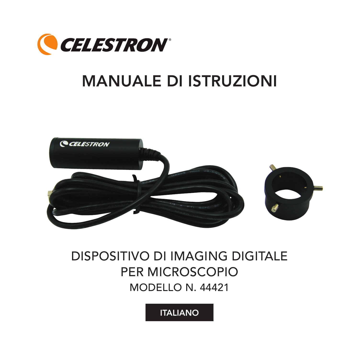

# MANUALE DI ISTRUZIONI



# Dispositivo di imaging digitale per microscopio Modello n. 44421

**ITALIANO**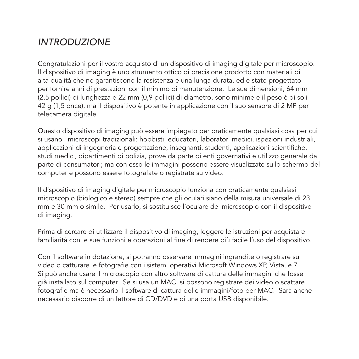### *Introduzione*

Congratulazioni per il vostro acquisto di un dispositivo di imaging digitale per microscopio. Il dispositivo di imaging è uno strumento ottico di precisione prodotto con materiali di alta qualità che ne garantiscono la resistenza e una lunga durata, ed è stato progettato per fornire anni di prestazioni con il minimo di manutenzione. Le sue dimensioni, 64 mm (2,5 pollici) di lunghezza e 22 mm (0,9 pollici) di diametro, sono minime e il peso è di soli 42 g (1,5 once), ma il dispositivo è potente in applicazione con il suo sensore di 2 MP per telecamera digitale.

Questo dispositivo di imaging può essere impiegato per praticamente qualsiasi cosa per cui si usano i microscopi tradizionali: hobbisti, educatori, laboratori medici, ispezioni industriali, applicazioni di ingegneria e progettazione, insegnanti, studenti, applicazioni scientifiche, studi medici, dipartimenti di polizia, prove da parte di enti governativi e utilizzo generale da parte di consumatori; ma con esso le immagini possono essere visualizzate sullo schermo del computer e possono essere fotografate o registrate su video.

Il dispositivo di imaging digitale per microscopio funziona con praticamente qualsiasi microscopio (biologico e stereo) sempre che gli oculari siano della misura universale di 23 mm e 30 mm o simile. Per usarlo, si sostituisce l'oculare del microscopio con il dispositivo di imaging.

Prima di cercare di utilizzare il dispositivo di imaging, leggere le istruzioni per acquistare familiarità con le sue funzioni e operazioni al fine di rendere più facile l'uso del dispositivo.

Con il software in dotazione, si potranno osservare immagini ingrandite o registrare su video o catturare le fotografie con i sistemi operativi Microsoft Windows XP, Vista, e 7. Si può anche usare il microscopio con altro software di cattura delle immagini che fosse già installato sul computer. Se si usa un MAC, si possono registrare dei video o scattare fotografie ma è necessario il software di cattura delle immagini/foto per MAC. Sarà anche necessario disporre di un lettore di CD/DVD e di una porta USB disponibile.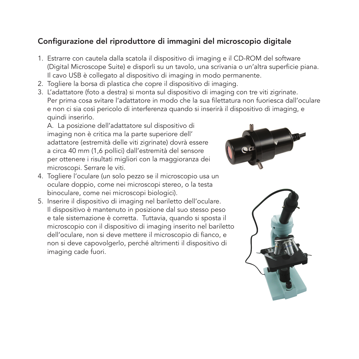#### Configurazione del riproduttore di immagini del microscopio digitale

- 1. Estrarre con cautela dalla scatola il dispositivo di imaging e il CD-ROM del software (Digital Microscope Suite) e disporli su un tavolo, una scrivania o un'altra superficie piana. Il cavo USB è collegato al dispositivo di imaging in modo permanente.
- 2. Togliere la borsa di plastica che copre il dispositivo di imaging.
- 3. L'adattatore (foto a destra) si monta sul dispositivo di imaging con tre viti zigrinate. Per prima cosa svitare l'adattatore in modo che la sua filettatura non fuoriesca dall'oculare e non ci sia così pericolo di interferenza quando si inserirà il dispositivo di imaging, e quindi inserirlo.

A. La posizione dell'adattatore sul dispositivo di imaging non è critica ma la parte superiore dell' adattatore (estremità delle viti zigrinate) dovrà essere a circa 40 mm (1,6 pollici) dall'estremità del sensore per ottenere i risultati migliori con la maggioranza dei microscopi. Serrare le viti.



- 4. Togliere l'oculare (un solo pezzo se il microscopio usa un oculare doppio, come nei microscopi stereo, o la testa binoculare, come nei microscopi biologici).
- 5. Inserire il dispositivo di imaging nel bariletto dell'oculare. Il dispositivo è mantenuto in posizione dal suo stesso peso e tale sistemazione è corretta. Tuttavia, quando si sposta il microscopio con il dispositivo di imaging inserito nel bariletto dell'oculare, non si deve mettere il microscopio di fianco, e non si deve capovolgerlo, perché altrimenti il dispositivo di imaging cade fuori.

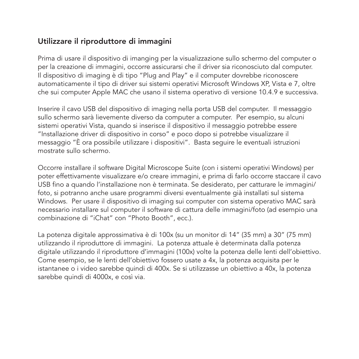#### Utilizzare il riproduttore di immagini

Prima di usare il dispositivo di imanging per la visualizzazione sullo schermo del computer o per la creazione di immagini, occorre assicurarsi che il driver sia riconosciuto dal computer. Il dispositivo di imaging è di tipo "Plug and Play" e il computer dovrebbe riconoscere automaticamente il tipo di driver sui sistemi operativi Microsoft Windows XP, Vista e 7, oltre che sui computer Apple MAC che usano il sistema operativo di versione 10.4.9 e successiva.

Inserire il cavo USB del dispositivo di imaging nella porta USB del computer. Il messaggio sullo schermo sarà lievemente diverso da computer a computer. Per esempio, su alcuni sistemi operativi Vista, quando si inserisce il dispositivo il messaggio potrebbe essere "Installazione driver di dispositivo in corso" e poco dopo si potrebbe visualizzare il messaggio "È ora possibile utilizzare i dispositivi". Basta seguire le eventuali istruzioni mostrate sullo schermo.

Occorre installare il software Digital Microscope Suite (con i sistemi operativi Windows) per poter effettivamente visualizzare e/o creare immagini, e prima di farlo occorre staccare il cavo USB fino a quando l'installazione non è terminata. Se desiderato, per catturare le immagini/ foto, si potranno anche usare programmi diversi eventualmente già installati sul sistema Windows. Per usare il dispositivo di imaging sui computer con sistema operativo MAC sarà necessario installare sul computer il software di cattura delle immagini/foto (ad esempio una combinazione di "iChat" con "Photo Booth", ecc.).

La potenza digitale approssimativa è di 100x (su un monitor di 14" (35 mm) a 30" (75 mm) utilizzando il riproduttore di immagini. La potenza attuale è determinata dalla potenza digitale utilizzando il riproduttore d'immagini (100x) volte la potenza delle lenti dell'obiettivo. Come esempio, se le lenti dell'obiettivo fossero usate a 4x, la potenza acquisita per le istantanee o i video sarebbe quindi di 400x. Se si utilizzasse un obiettivo a 40x, la potenza sarebbe quindi di 4000x, e così via.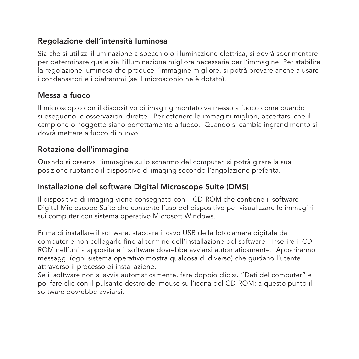#### Regolazione dell'intensità luminosa

Sia che si utilizzi illuminazione a specchio o illuminazione elettrica, si dovrà sperimentare per determinare quale sia l'illuminazione migliore necessaria per l'immagine. Per stabilire la regolazione luminosa che produce l'immagine migliore, si potrà provare anche a usare i condensatori e i diaframmi (se il microscopio ne è dotato).

#### Messa a fuoco

Il microscopio con il dispositivo di imaging montato va messo a fuoco come quando si eseguono le osservazioni dirette. Per ottenere le immagini migliori, accertarsi che il campione o l'oggetto siano perfettamente a fuoco. Quando si cambia ingrandimento si dovrà mettere a fuoco di nuovo.

#### Rotazione dell'immagine

Quando si osserva l'immagine sullo schermo del computer, si potrà girare la sua posizione ruotando il dispositivo di imaging secondo l'angolazione preferita.

#### Installazione del software Digital Microscope Suite (DMS)

Il dispositivo di imaging viene consegnato con il CD-ROM che contiene il software Digital Microscope Suite che consente l'uso del dispositivo per visualizzare le immagini sui computer con sistema operativo Microsoft Windows.

Prima di installare il software, staccare il cavo USB della fotocamera digitale dal computer e non collegarlo fino al termine dell'installazione del software. Inserire il CD-ROM nell'unità apposita e il software dovrebbe avviarsi automaticamente. Appariranno messaggi (ogni sistema operativo mostra qualcosa di diverso) che guidano l'utente attraverso il processo di installazione.

Se il software non si avvia automaticamente, fare doppio clic su "Dati del computer" e poi fare clic con il pulsante destro del mouse sull'icona del CD-ROM: a questo punto il software dovrebbe avviarsi.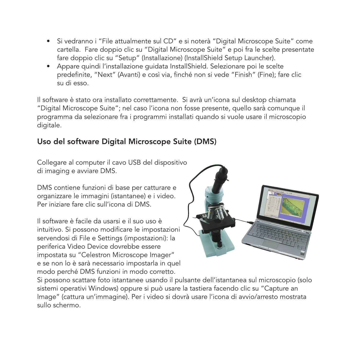- • Si vedranno i "File attualmente sul CD" e si noterà "Digital Microscope Suite" come cartella. Fare doppio clic su "Digital Microscope Suite" e poi fra le scelte presentate fare doppio clic su "Setup" (Installazione) (InstallShield Setup Launcher).
- • Appare quindi l'installazione guidata InstallShield. Selezionare poi le scelte predefinite, "Next" (Avanti) e così via, finché non si vede "Finish" (Fine); fare clic su di esso.

Il software è stato ora installato correttamente. Si avrà un'icona sul desktop chiamata "Digital Microscope Suite"; nel caso l'icona non fosse presente, quello sarà comunque il programma da selezionare fra i programmi installati quando si vuole usare il microscopio digitale.

#### Uso del software Digital Microscope Suite (DMS)

Collegare al computer il cavo USB del dispositivo di imaging e avviare DMS.

DMS contiene funzioni di base per catturare e organizzare le immagini (istantanee) e i video. Per iniziare fare clic sull'icona di DMS.

Il software è facile da usarsi e il suo uso è intuitivo. Si possono modificare le impostazioni servendosi di File e Settings (impostazioni): la periferica Video Device dovrebbe essere impostata su "Celestron Microscope Imager" e se non lo è sarà necessario impostarla in quel modo perché DMS funzioni in modo corretto.



Si possono scattare foto istantanee usando il pulsante dell'istantanea sul microscopio (solo sistemi operativi Windows) oppure si può usare la tastiera facendo clic su "Capture an Image" (cattura un'immagine). Per i video si dovrà usare l'icona di avvio/arresto mostrata sullo schermo.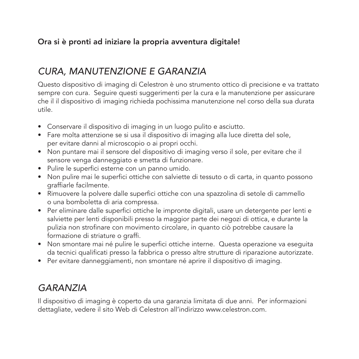#### Ora si è pronti ad iniziare la propria avventura digitale!

### *Cura, manutenzione e garanzia*

Questo dispositivo di imaging di Celestron è uno strumento ottico di precisione e va trattato sempre con cura. Seguire questi suggerimenti per la cura e la manutenzione per assicurare che il il dispositivo di imaging richieda pochissima manutenzione nel corso della sua durata utile.

- Conservare il dispositivo di imaging in un luogo pulito e asciutto.
- • Fare molta attenzione se si usa il dispositivo di imaging alla luce diretta del sole, per evitare danni al microscopio o ai propri occhi.
- • Non puntare mai il sensore del dispositivo di imaging verso il sole, per evitare che il sensore venga danneggiato e smetta di funzionare.
- • Pulire le superfici esterne con un panno umido.
- • Non pulire mai le superfici ottiche con salviette di tessuto o di carta, in quanto possono graffiarle facilmente.
- • Rimuovere la polvere dalle superfici ottiche con una spazzolina di setole di cammello o una bomboletta di aria compressa.
- • Per eliminare dalle superfici ottiche le impronte digitali, usare un detergente per lenti e salviette per lenti disponibili presso la maggior parte dei negozi di ottica, e durante la pulizia non strofinare con movimento circolare, in quanto ciò potrebbe causare la formazione di striature o graffi.
- • Non smontare mai né pulire le superfici ottiche interne. Questa operazione va eseguita da tecnici qualificati presso la fabbrica o presso altre strutture di riparazione autorizzate.
- Per evitare danneggiamenti, non smontare né aprire il dispositivo di imaging.

### *Garanzia*

Il dispositivo di imaging è coperto da una garanzia limitata di due anni. Per informazioni dettagliate, vedere il sito Web di Celestron all'indirizzo www.celestron.com.